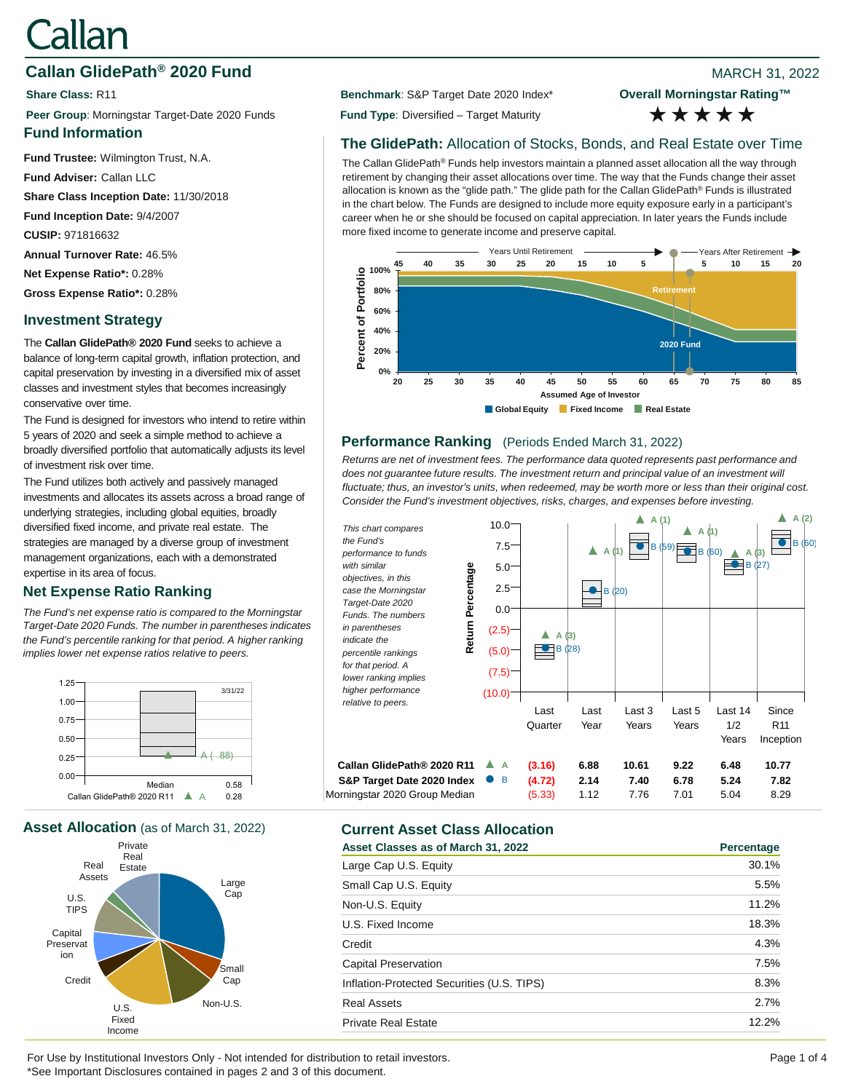# Callan

# **Callan GlidePath<sup>®</sup> 2020 Fund Blue Accord 2020 Fund Callan Callan Contract 21, 2022**

**Peer Group**: Morningstar Target-Date 2020 Funds **Fund Type**: Diversified – Target Maturity

# **Fund Information**

**Fund Trustee:** Wilmington Trust, N.A.

**Fund Adviser:** Callan LLC

**Share Class Inception Date:** 11/30/2018

**Fund Inception Date:** 9/4/2007

**CUSIP:** 971816632

**Annual Turnover Rate:** 46.5%

**Net Expense Ratio\*:** 0.28%

**Gross Expense Ratio\*:** 0.28%

# **Investment Strategy**

The **Callan GlidePath® 2020 Fund** seeks to achieve a balance of long-term capital growth, inflation protection, and capital preservation by investing in a diversified mix of asset classes and investment styles that becomes increasingly conservative over time.

The Fund is designed for investors who intend to retire within 5 years of 2020 and seek a simple method to achieve a broadly diversified portfolio that automatically adjusts its level of investment risk over time.

The Fund utilizes both actively and passively managed investments and allocates its assets across a broad range of underlying strategies, including global equities, broadly diversified fixed income, and private real estate. The strategies are managed by a diverse group of investment management organizations, each with a demonstrated expertise in its area of focus.

# **Net Expense Ratio Ranking**

*The Fund's net expense ratio is compared to the Morningstar Target-Date 2020 Funds. The number in parentheses indicates the Fund's percentile ranking for that period. A higher ranking implies lower net expense ratios relative to peers.*



**Asset Allocation** (as of March 31, 2022) **Current Asset Class Allocation**



**Share Class: R11 Benchmark: S&P Target Date 2020 Index\*** 

**Overall Morningstar Rating™** \*\*\*\*\*

# **The GlidePath:** Allocation of Stocks, Bonds, and Real Estate over Time

The Callan GlidePath® Funds help investors maintain a planned asset allocation all the way through retirement by changing their asset allocations over time. The way that the Funds change their asset allocation is known as the "glide path." The glide path for the Callan GlidePath® Funds is illustrated in the chart below. The Funds are designed to include more equity exposure early in a participant's career when he or she should be focused on capital appreciation. In later years the Funds include more fixed income to generate income and preserve capital.



### **Performance Ranking** (Periods Ended March 31, 2022)

*Returns are net of investment fees. The performance data quoted represents past performance and*  does not guarantee future results. The investment return and principal value of an investment will *fluctuate; thus, an investor's units, when redeemed, may be worth more or less than their original cost. Consider the Fund's investment objectives, risks, charges, and expenses before investing.*



| Asset Classes as of March 31, 2022         | Percentage |
|--------------------------------------------|------------|
| Large Cap U.S. Equity                      | 30.1%      |
| Small Cap U.S. Equity                      | 5.5%       |
| Non-U.S. Equity                            | 11.2%      |
| U.S. Fixed Income                          | 18.3%      |
| Credit                                     | 4.3%       |
| <b>Capital Preservation</b>                | 7.5%       |
| Inflation-Protected Securities (U.S. TIPS) | 8.3%       |
| <b>Real Assets</b>                         | 2.7%       |
| <b>Private Real Estate</b>                 | 12.2%      |

For Use by Institutional Investors Only - Not intended for distribution to retail investors. Page 1 of 4 \*See Important Disclosures contained in pages 2 and 3 of this document.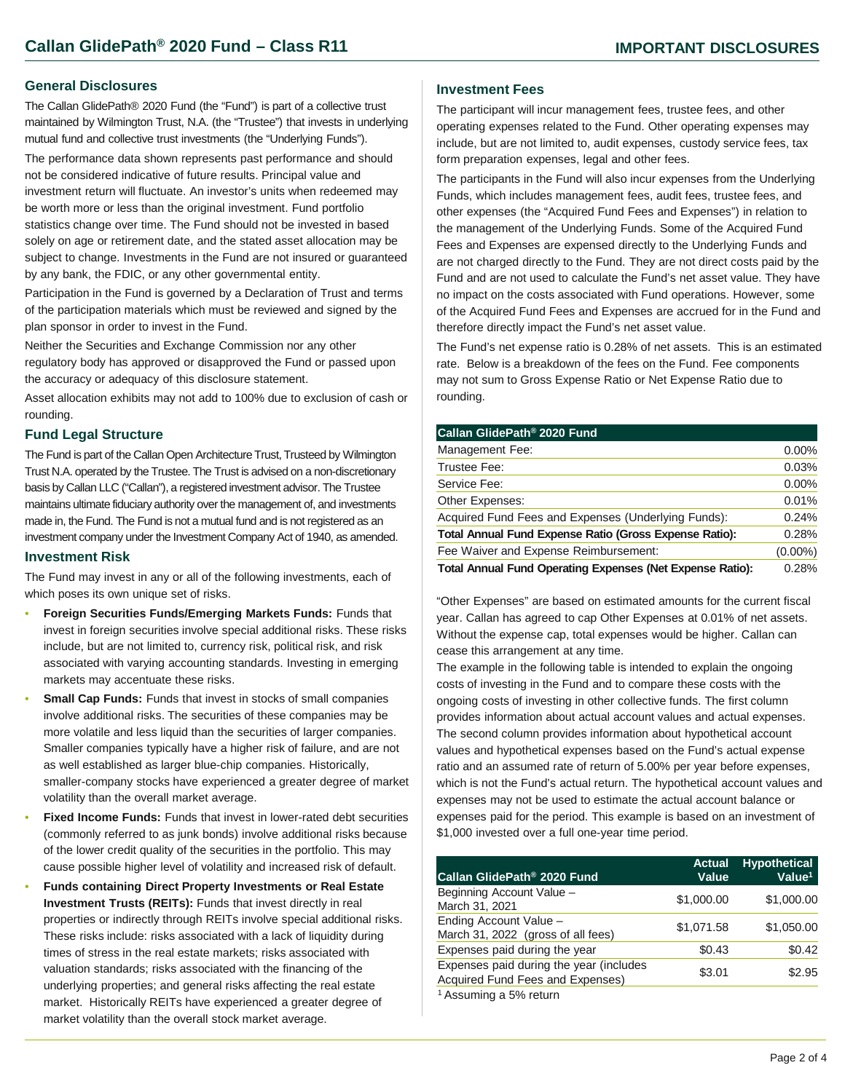#### **General Disclosures**

The Callan GlidePath® 2020 Fund (the "Fund") is part of a collective trust maintained by Wilmington Trust, N.A. (the "Trustee") that invests in underlying mutual fund and collective trust investments (the "Underlying Funds").

The performance data shown represents past performance and should not be considered indicative of future results. Principal value and investment return will fluctuate. An investor's units when redeemed may be worth more or less than the original investment. Fund portfolio statistics change over time. The Fund should not be invested in based solely on age or retirement date, and the stated asset allocation may be subject to change. Investments in the Fund are not insured or guaranteed by any bank, the FDIC, or any other governmental entity.

Participation in the Fund is governed by a Declaration of Trust and terms of the participation materials which must be reviewed and signed by the plan sponsor in order to invest in the Fund.

Neither the Securities and Exchange Commission nor any other regulatory body has approved or disapproved the Fund or passed upon the accuracy or adequacy of this disclosure statement.

Asset allocation exhibits may not add to 100% due to exclusion of cash or rounding.

#### **Fund Legal Structure**

The Fund is part of the Callan Open Architecture Trust, Trusteed by Wilmington Trust N.A. operated by the Trustee. The Trust is advised on a non-discretionary basis by Callan LLC ("Callan"), a registered investment advisor. The Trustee maintains ultimate fiduciary authority over the management of, and investments made in, the Fund. The Fund is not a mutual fund and is not registered as an investment company under the Investment Company Act of 1940, as amended.

#### **Investment Risk**

The Fund may invest in any or all of the following investments, each of which poses its own unique set of risks.

- **Foreign Securities Funds/Emerging Markets Funds:** Funds that invest in foreign securities involve special additional risks. These risks include, but are not limited to, currency risk, political risk, and risk associated with varying accounting standards. Investing in emerging markets may accentuate these risks.
- **Small Cap Funds:** Funds that invest in stocks of small companies involve additional risks. The securities of these companies may be more volatile and less liquid than the securities of larger companies. Smaller companies typically have a higher risk of failure, and are not as well established as larger blue-chip companies. Historically, smaller-company stocks have experienced a greater degree of market volatility than the overall market average.
- **Fixed Income Funds:** Funds that invest in lower-rated debt securities (commonly referred to as junk bonds) involve additional risks because of the lower credit quality of the securities in the portfolio. This may cause possible higher level of volatility and increased risk of default.
- **Funds containing Direct Property Investments or Real Estate Investment Trusts (REITs):** Funds that invest directly in real properties or indirectly through REITs involve special additional risks. These risks include: risks associated with a lack of liquidity during times of stress in the real estate markets; risks associated with valuation standards; risks associated with the financing of the underlying properties; and general risks affecting the real estate market. Historically REITs have experienced a greater degree of market volatility than the overall stock market average.

#### **Investment Fees**

The participant will incur management fees, trustee fees, and other operating expenses related to the Fund. Other operating expenses may include, but are not limited to, audit expenses, custody service fees, tax form preparation expenses, legal and other fees.

The participants in the Fund will also incur expenses from the Underlying Funds, which includes management fees, audit fees, trustee fees, and other expenses (the "Acquired Fund Fees and Expenses") in relation to the management of the Underlying Funds. Some of the Acquired Fund Fees and Expenses are expensed directly to the Underlying Funds and are not charged directly to the Fund. They are not direct costs paid by the Fund and are not used to calculate the Fund's net asset value. They have no impact on the costs associated with Fund operations. However, some of the Acquired Fund Fees and Expenses are accrued for in the Fund and therefore directly impact the Fund's net asset value.

The Fund's net expense ratio is 0.28% of net assets. This is an estimated rate. Below is a breakdown of the fees on the Fund. Fee components may not sum to Gross Expense Ratio or Net Expense Ratio due to rounding.

| Callan GlidePath <sup>®</sup> 2020 Fund                          |            |
|------------------------------------------------------------------|------------|
| Management Fee:                                                  | $0.00\%$   |
| Trustee Fee:                                                     | 0.03%      |
| Service Fee:                                                     | $0.00\%$   |
| Other Expenses:                                                  | 0.01%      |
| Acquired Fund Fees and Expenses (Underlying Funds):              | 0.24%      |
| Total Annual Fund Expense Ratio (Gross Expense Ratio):           | 0.28%      |
| Fee Waiver and Expense Reimbursement:                            | $(0.00\%)$ |
| <b>Total Annual Fund Operating Expenses (Net Expense Ratio):</b> | 0.28%      |

"Other Expenses" are based on estimated amounts for the current fiscal year. Callan has agreed to cap Other Expenses at 0.01% of net assets. Without the expense cap, total expenses would be higher. Callan can cease this arrangement at any time.

The example in the following table is intended to explain the ongoing costs of investing in the Fund and to compare these costs with the ongoing costs of investing in other collective funds. The first column provides information about actual account values and actual expenses. The second column provides information about hypothetical account values and hypothetical expenses based on the Fund's actual expense ratio and an assumed rate of return of 5.00% per year before expenses, which is not the Fund's actual return. The hypothetical account values and expenses may not be used to estimate the actual account balance or expenses paid for the period. This example is based on an investment of \$1,000 invested over a full one-year time period.

| Callan GlidePath <sup>®</sup> 2020 Fund                                     | <b>Actual</b><br>Value | <b>Hypothetical</b><br>Value <sup>1</sup> |
|-----------------------------------------------------------------------------|------------------------|-------------------------------------------|
| Beginning Account Value -<br>March 31, 2021                                 | \$1,000.00             | \$1,000.00                                |
| Ending Account Value -<br>March 31, 2022 (gross of all fees)                | \$1,071.58             | \$1,050.00                                |
| Expenses paid during the year                                               | \$0.43                 | \$0.42                                    |
| Expenses paid during the year (includes<br>Acquired Fund Fees and Expenses) | \$3.01                 | \$2.95                                    |
| <sup>1</sup> Assuming a 5% return                                           |                        |                                           |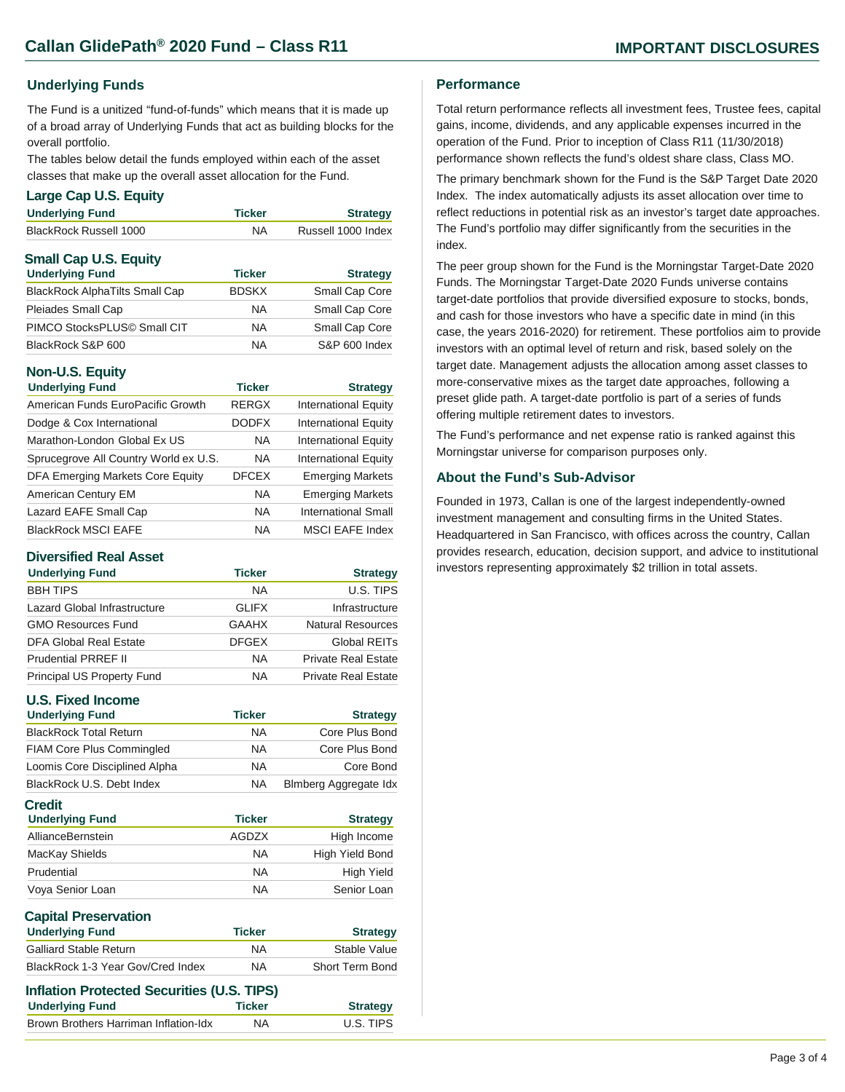#### **Underlying Funds**

The Fund is a unitized "fund-of-funds" which means that it is made up of a broad array of Underlying Funds that act as building blocks for the overall portfolio.

The tables below detail the funds employed within each of the asset classes that make up the overall asset allocation for the Fund.

#### **Large Cap U.S. Equity**

| <b>Underlying Fund</b>                | <b>Ticker</b> | <b>Strategy</b>    |
|---------------------------------------|---------------|--------------------|
| <b>BlackRock Russell 1000</b>         | NA.           | Russell 1000 Index |
| <b>Small Cap U.S. Equity</b>          |               |                    |
| <b>Underlying Fund</b>                | <b>Ticker</b> | <b>Strategy</b>    |
| <b>BlackRock AlphaTilts Small Cap</b> | <b>BDSKX</b>  | Small Cap Core     |
|                                       |               |                    |

| Pleiades Small Cap          | NΑ        | Small Cap Core |
|-----------------------------|-----------|----------------|
| PIMCO StocksPLUS© Small CIT | ΝA        | Small Cap Core |
| BlackRock S&P 600           | <b>NA</b> | S&P 600 Index  |

#### **Non-U.S. Equity**

| <b>Underlying Fund</b>                | <b>Ticker</b> | <b>Strategy</b>             |
|---------------------------------------|---------------|-----------------------------|
| American Funds EuroPacific Growth     | <b>RERGX</b>  | <b>International Equity</b> |
| Dodge & Cox International             | <b>DODFX</b>  | <b>International Equity</b> |
| Marathon-London Global Ex US          | <b>NA</b>     | <b>International Equity</b> |
| Sprucegrove All Country World ex U.S. | <b>NA</b>     | <b>International Equity</b> |
| DFA Emerging Markets Core Equity      | <b>DFCEX</b>  | <b>Emerging Markets</b>     |
| American Century EM                   | <b>NA</b>     | <b>Emerging Markets</b>     |
| Lazard EAFE Small Cap                 | <b>NA</b>     | <b>International Small</b>  |
| <b>BlackRock MSCI EAFE</b>            | <b>NA</b>     | <b>MSCI EAFE Index</b>      |

#### **Diversified Real Asset**

| <b>Underlying Fund</b>       | <b>Ticker</b> | <b>Strategy</b>            |
|------------------------------|---------------|----------------------------|
| <b>BBH TIPS</b>              | <b>NA</b>     | U.S. TIPS                  |
| Lazard Global Infrastructure | <b>GLIFX</b>  | Infrastructure             |
| <b>GMO Resources Fund</b>    | <b>GAAHX</b>  | Natural Resources          |
| DFA Global Real Estate       | <b>DFGEX</b>  | Global REITs               |
| <b>Prudential PRREF II</b>   | <b>NA</b>     | <b>Private Real Estate</b> |
| Principal US Property Fund   | NA.           | <b>Private Real Estate</b> |

## **U.S. Fixed Income**

| <b>Underlying Fund</b>           | <b>Ticker</b> | <b>Strategy</b>       |
|----------------------------------|---------------|-----------------------|
| <b>BlackRock Total Return</b>    | <b>NA</b>     | Core Plus Bond        |
| <b>FIAM Core Plus Commingled</b> | <b>NA</b>     | Core Plus Bond        |
| Loomis Core Disciplined Alpha    | <b>NA</b>     | Core Bond             |
| BlackRock U.S. Debt Index        | <b>NA</b>     | Blmberg Aggregate Idx |
| Credit<br><b>Underlying Fund</b> | <b>Ticker</b> | <b>Strategy</b>       |
|                                  |               |                       |
| AllianceBernstein                | AGDZX         | High Income           |
| MacKay Shields                   | <b>NA</b>     | High Yield Bond       |
| Prudential                       | <b>NA</b>     | <b>High Yield</b>     |
| Vova Senior Loan                 | ΝA            | Senior Loan           |

| <b>Capital Preservation</b>                       |               |                 |
|---------------------------------------------------|---------------|-----------------|
| <b>Underlying Fund</b>                            | <b>Ticker</b> | <b>Strategy</b> |
| <b>Galliard Stable Return</b>                     | NA            | Stable Value    |
| BlackRock 1-3 Year Gov/Cred Index                 | NA            | Short Term Bond |
| <b>Inflation Protected Securities (U.S. TIPS)</b> |               |                 |

| Inflation Protected Securities (U.S. TIPS) |               |                 |
|--------------------------------------------|---------------|-----------------|
| <b>Underlying Fund</b>                     | <b>Ticker</b> | <b>Strategy</b> |
| Brown Brothers Harriman Inflation-Idx      | <b>NA</b>     | U.S. TIPS       |

#### **Performance**

Total return performance reflects all investment fees, Trustee fees, capital gains, income, dividends, and any applicable expenses incurred in the operation of the Fund. Prior to inception of Class R11 (11/30/2018) performance shown reflects the fund's oldest share class, Class MO.

The primary benchmark shown for the Fund is the S&P Target Date 2020 Index. The index automatically adjusts its asset allocation over time to reflect reductions in potential risk as an investor's target date approaches. The Fund's portfolio may differ significantly from the securities in the index.

The peer group shown for the Fund is the Morningstar Target-Date 2020 Funds. The Morningstar Target-Date 2020 Funds universe contains target-date portfolios that provide diversified exposure to stocks, bonds, and cash for those investors who have a specific date in mind (in this case, the years 2016-2020) for retirement. These portfolios aim to provide investors with an optimal level of return and risk, based solely on the target date. Management adjusts the allocation among asset classes to more-conservative mixes as the target date approaches, following a preset glide path. A target-date portfolio is part of a series of funds offering multiple retirement dates to investors.

The Fund's performance and net expense ratio is ranked against this Morningstar universe for comparison purposes only.

#### **About the Fund's Sub-Advisor**

Founded in 1973, Callan is one of the largest independently-owned investment management and consulting firms in the United States. Headquartered in San Francisco, with offices across the country, Callan provides research, education, decision support, and advice to institutional investors representing approximately \$2 trillion in total assets.